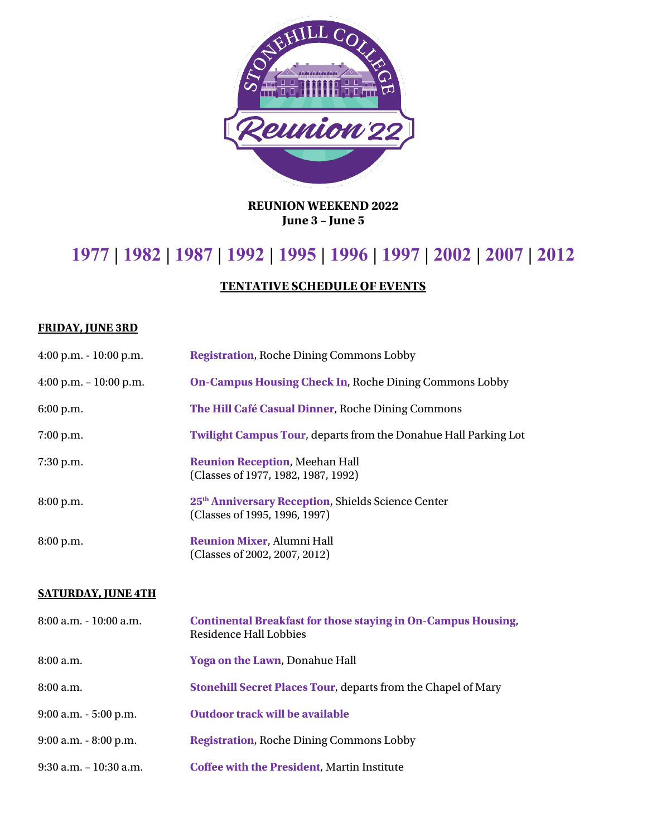

**REUNION WEEKEND 2022 June 3 – June 5**

## **1977 | 1982 | 1987 | 1992 | 1995 | 1996 | 1997 | 2002 | 2007 | 2012**

## **TENTATIVE SCHEDULE OF EVENTS**

## **FRIDAY, JUNE 3RD**

| 4:00 p.m. $-10:00$ p.m.   | <b>On-Campus Housing Check In, Roche Dining Commons Lobby</b>                                         |
|---------------------------|-------------------------------------------------------------------------------------------------------|
| 6:00 p.m.                 | The Hill Café Casual Dinner, Roche Dining Commons                                                     |
| 7:00 p.m.                 | Twilight Campus Tour, departs from the Donahue Hall Parking Lot                                       |
| 7:30 p.m.                 | <b>Reunion Reception, Meehan Hall</b><br>(Classes of 1977, 1982, 1987, 1992)                          |
| 8:00 p.m.                 | 25 <sup>th</sup> Anniversary Reception, Shields Science Center<br>(Classes of 1995, 1996, 1997)       |
| 8:00 p.m.                 | Reunion Mixer, Alumni Hall<br>(Classes of 2002, 2007, 2012)                                           |
| <b>SATURDAY, JUNE 4TH</b> |                                                                                                       |
| 8:00 a.m. - 10:00 a.m.    | <b>Continental Breakfast for those staying in On-Campus Housing,</b><br><b>Residence Hall Lobbies</b> |
| 8:00 a.m.                 | Yoga on the Lawn, Donahue Hall                                                                        |
| 8:00 a.m.                 | Stonehill Secret Places Tour, departs from the Chapel of Mary                                         |
| 9:00 a.m. - 5:00 p.m.     | <b>Outdoor track will be available</b>                                                                |
| $9:00$ a.m. $-8:00$ p.m.  | <b>Registration, Roche Dining Commons Lobby</b>                                                       |
| 9:30 a.m. - 10:30 a.m.    | <b>Coffee with the President, Martin Institute</b>                                                    |
|                           |                                                                                                       |

4:00 p.m. - 10:00 p.m. **Registration**, Roche Dining Commons Lobby